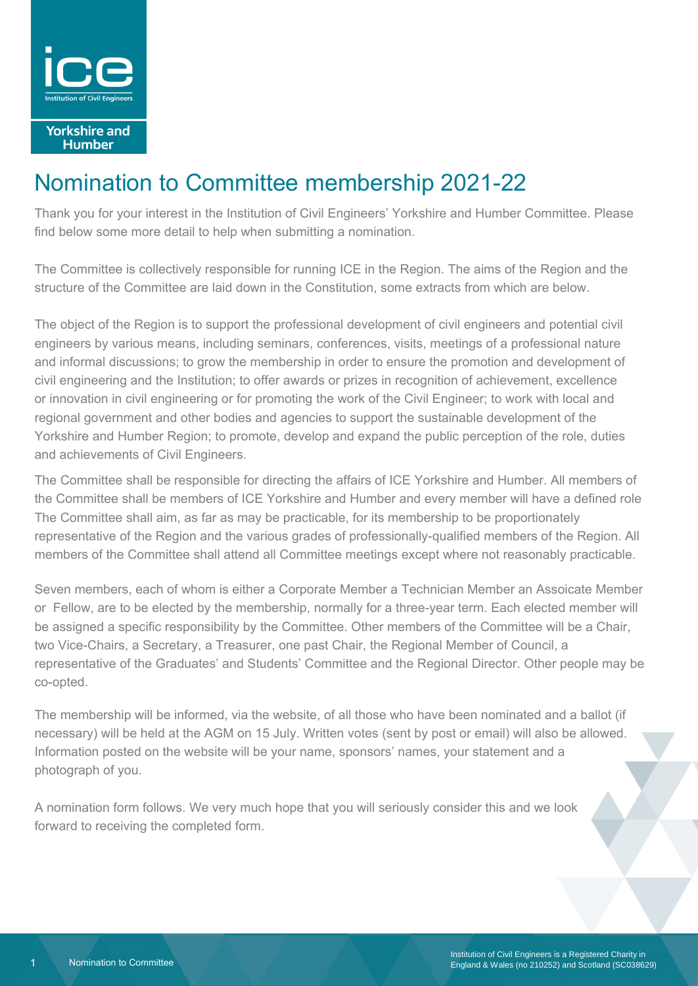

**Yorkshire and Humber** 

## Nomination to Committee membership 2021-22

Thank you for your interest in the Institution of Civil Engineers' Yorkshire and Humber Committee. Please find below some more detail to help when submitting a nomination.

The Committee is collectively responsible for running ICE in the Region. The aims of the Region and the structure of the Committee are laid down in the Constitution, some extracts from which are below.

The object of the Region is to support the professional development of civil engineers and potential civil engineers by various means, including seminars, conferences, visits, meetings of a professional nature and informal discussions; to grow the membership in order to ensure the promotion and development of civil engineering and the Institution; to offer awards or prizes in recognition of achievement, excellence or innovation in civil engineering or for promoting the work of the Civil Engineer; to work with local and regional government and other bodies and agencies to support the sustainable development of the Yorkshire and Humber Region; to promote, develop and expand the public perception of the role, duties and achievements of Civil Engineers.

The Committee shall be responsible for directing the affairs of ICE Yorkshire and Humber. All members of the Committee shall be members of ICE Yorkshire and Humber and every member will have a defined role The Committee shall aim, as far as may be practicable, for its membership to be proportionately representative of the Region and the various grades of professionally-qualified members of the Region. All members of the Committee shall attend all Committee meetings except where not reasonably practicable.

Seven members, each of whom is either a Corporate Member a Technician Member an Assoicate Member or Fellow, are to be elected by the membership, normally for a three-year term. Each elected member will be assigned a specific responsibility by the Committee. Other members of the Committee will be a Chair, two Vice-Chairs, a Secretary, a Treasurer, one past Chair, the Regional Member of Council, a representative of the Graduates' and Students' Committee and the Regional Director. Other people may be co-opted.

The membership will be informed, via the website, of all those who have been nominated and a ballot (if necessary) will be held at the AGM on 15 July. Written votes (sent by post or email) will also be allowed. Information posted on the website will be your name, sponsors' names, your statement and a photograph of you.

A nomination form follows. We very much hope that you will seriously consider this and we look forward to receiving the completed form.